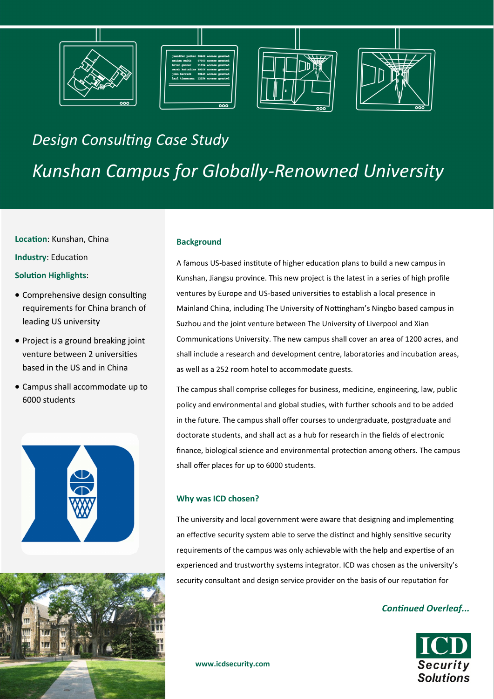







# *Design Consulting Case Study Kunshan Campus for Globally-Renowned University*

#### **Location**: Kunshan, China

**Industry**: Education

### **Solution Highlights**:

- Comprehensive design consulting requirements for China branch of leading US university
- Project is a ground breaking joint venture between 2 universities based in the US and in China
- Campus shall accommodate up to 6000 students





#### **Background**

A famous US-based institute of higher education plans to build a new campus in Kunshan, Jiangsu province. This new project is the latest in a series of high profile ventures by Europe and US-based universities to establish a local presence in Mainland China, including The University of Nottingham's Ningbo based campus in Suzhou and the joint venture between The University of Liverpool and Xian Communications University. The new campus shall cover an area of 1200 acres, and shall include a research and development centre, laboratories and incubation areas, as well as a 252 room hotel to accommodate guests.

The campus shall comprise colleges for business, medicine, engineering, law, public policy and environmental and global studies, with further schools and to be added in the future. The campus shall offer courses to undergraduate, postgraduate and doctorate students, and shall act as a hub for research in the fields of electronic finance, biological science and environmental protection among others. The campus shall offer places for up to 6000 students.

### **Why was ICD chosen?**

The university and local government were aware that designing and implementing an effective security system able to serve the distinct and highly sensitive security requirements of the campus was only achievable with the help and expertise of an experienced and trustworthy systems integrator. ICD was chosen as the university's security consultant and design service provider on the basis of our reputation for

## *Continued Overleaf...*



**www.icdsecurity.com**